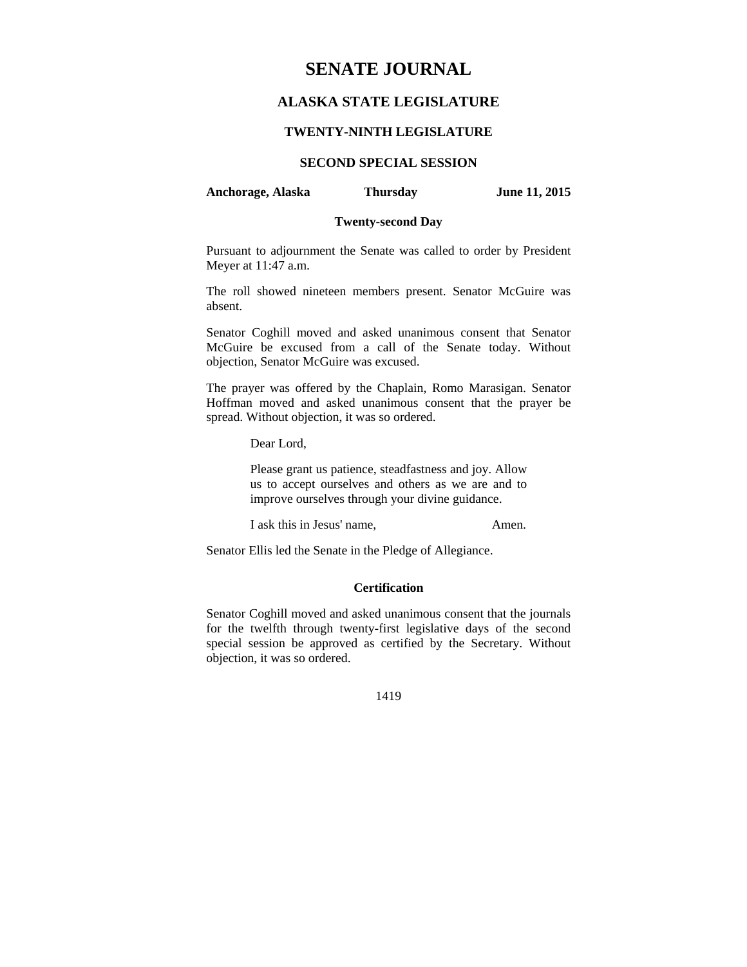# **SENATE JOURNAL**

## **ALASKA STATE LEGISLATURE**

### **TWENTY-NINTH LEGISLATURE**

## **SECOND SPECIAL SESSION**

**Anchorage, Alaska Thursday June 11, 2015** 

### **Twenty-second Day**

Pursuant to adjournment the Senate was called to order by President Meyer at 11:47 a.m.

The roll showed nineteen members present. Senator McGuire was absent.

Senator Coghill moved and asked unanimous consent that Senator McGuire be excused from a call of the Senate today. Without objection, Senator McGuire was excused.

The prayer was offered by the Chaplain, Romo Marasigan. Senator Hoffman moved and asked unanimous consent that the prayer be spread. Without objection, it was so ordered.

Dear Lord,

Please grant us patience, steadfastness and joy. Allow us to accept ourselves and others as we are and to improve ourselves through your divine guidance.

I ask this in Jesus' name, Amen.

Senator Ellis led the Senate in the Pledge of Allegiance.

### **Certification**

Senator Coghill moved and asked unanimous consent that the journals for the twelfth through twenty-first legislative days of the second special session be approved as certified by the Secretary. Without objection, it was so ordered.

1419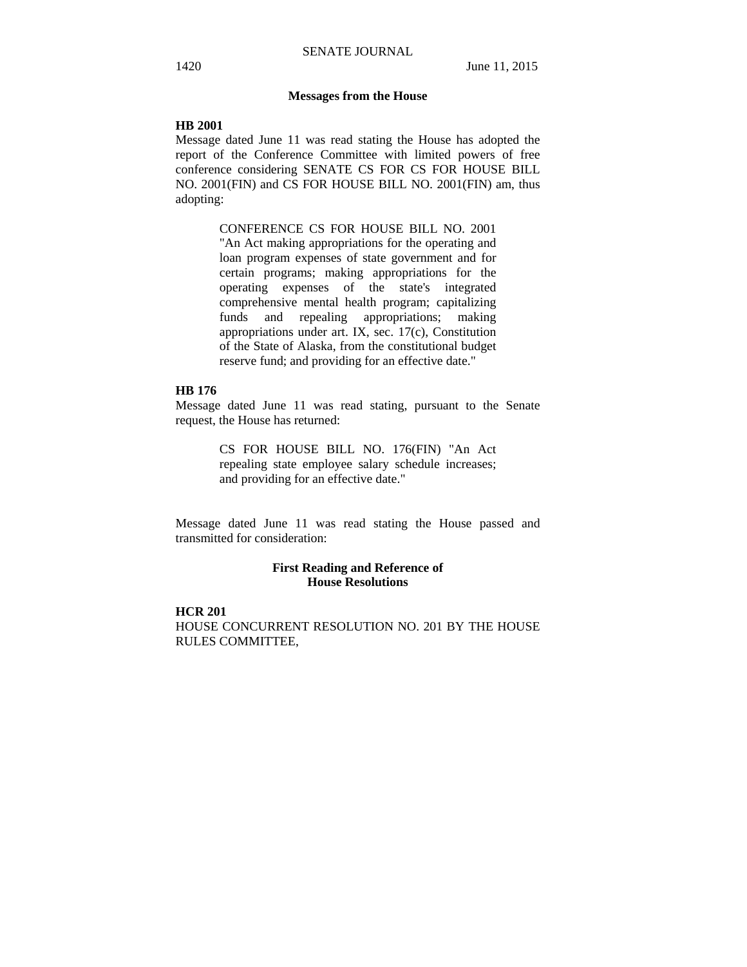#### **Messages from the House**

#### **HB 2001**

Message dated June 11 was read stating the House has adopted the report of the Conference Committee with limited powers of free conference considering SENATE CS FOR CS FOR HOUSE BILL NO. 2001(FIN) and CS FOR HOUSE BILL NO. 2001(FIN) am, thus adopting:

> CONFERENCE CS FOR HOUSE BILL NO. 2001 "An Act making appropriations for the operating and loan program expenses of state government and for certain programs; making appropriations for the operating expenses of the state's integrated comprehensive mental health program; capitalizing funds and repealing appropriations; making appropriations under art. IX, sec. 17(c), Constitution of the State of Alaska, from the constitutional budget reserve fund; and providing for an effective date."

### **HB 176**

Message dated June 11 was read stating, pursuant to the Senate request, the House has returned:

> CS FOR HOUSE BILL NO. 176(FIN) "An Act repealing state employee salary schedule increases; and providing for an effective date."

Message dated June 11 was read stating the House passed and transmitted for consideration:

### **First Reading and Reference of House Resolutions**

## **HCR 201**  HOUSE CONCURRENT RESOLUTION NO. 201 BY THE HOUSE RULES COMMITTEE,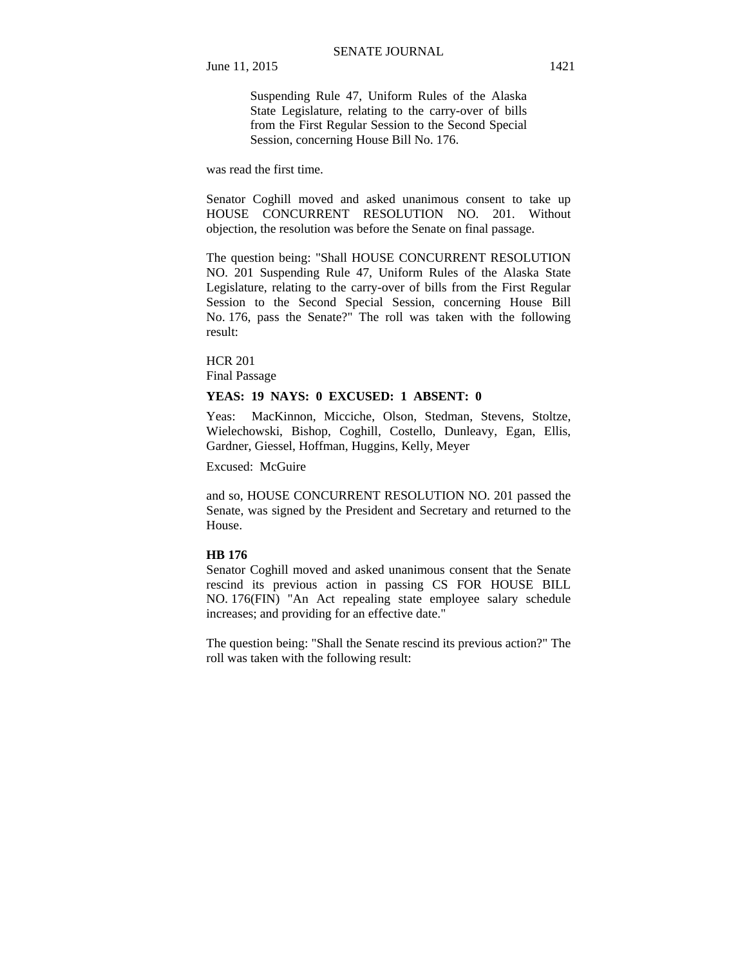Suspending Rule 47, Uniform Rules of the Alaska State Legislature, relating to the carry-over of bills from the First Regular Session to the Second Special Session, concerning House Bill No. 176.

was read the first time.

Senator Coghill moved and asked unanimous consent to take up HOUSE CONCURRENT RESOLUTION NO. 201. Without objection, the resolution was before the Senate on final passage.

The question being: "Shall HOUSE CONCURRENT RESOLUTION NO. 201 Suspending Rule 47, Uniform Rules of the Alaska State Legislature, relating to the carry-over of bills from the First Regular Session to the Second Special Session, concerning House Bill No. 176, pass the Senate?" The roll was taken with the following result:

HCR 201

Final Passage

### **YEAS: 19 NAYS: 0 EXCUSED: 1 ABSENT: 0**

Yeas: MacKinnon, Micciche, Olson, Stedman, Stevens, Stoltze, Wielechowski, Bishop, Coghill, Costello, Dunleavy, Egan, Ellis, Gardner, Giessel, Hoffman, Huggins, Kelly, Meyer

Excused: McGuire

and so, HOUSE CONCURRENT RESOLUTION NO. 201 passed the Senate, was signed by the President and Secretary and returned to the House.

#### **HB 176**

Senator Coghill moved and asked unanimous consent that the Senate rescind its previous action in passing CS FOR HOUSE BILL NO. 176(FIN) "An Act repealing state employee salary schedule increases; and providing for an effective date."

The question being: "Shall the Senate rescind its previous action?" The roll was taken with the following result: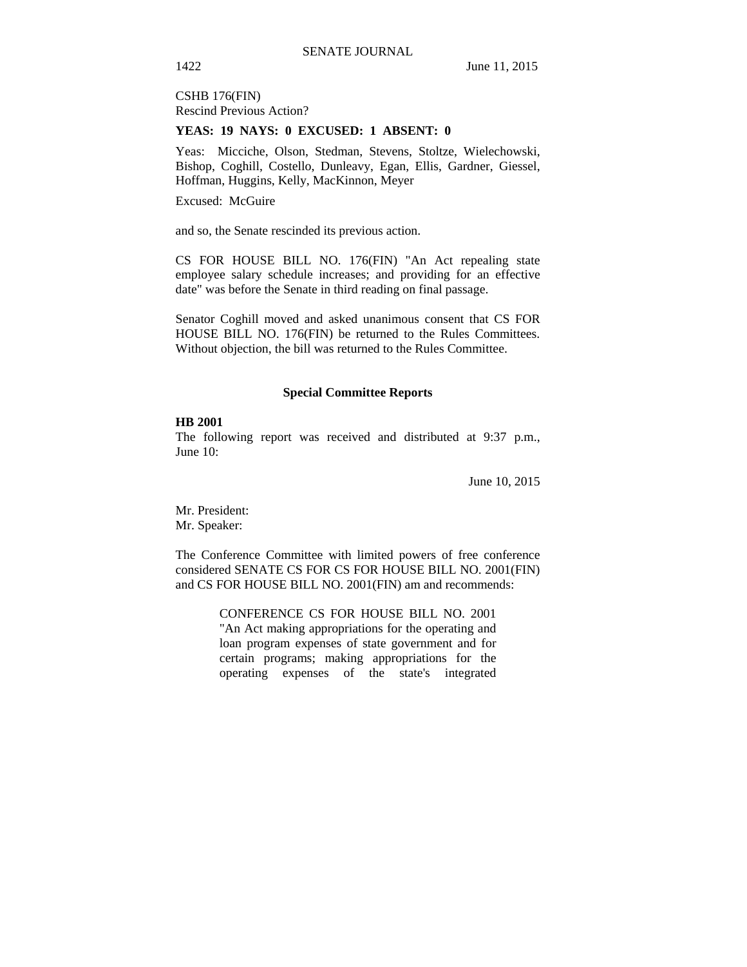CSHB 176(FIN) Rescind Previous Action?

### **YEAS: 19 NAYS: 0 EXCUSED: 1 ABSENT: 0**

Yeas: Micciche, Olson, Stedman, Stevens, Stoltze, Wielechowski, Bishop, Coghill, Costello, Dunleavy, Egan, Ellis, Gardner, Giessel, Hoffman, Huggins, Kelly, MacKinnon, Meyer

Excused: McGuire

and so, the Senate rescinded its previous action.

CS FOR HOUSE BILL NO. 176(FIN) "An Act repealing state employee salary schedule increases; and providing for an effective date" was before the Senate in third reading on final passage.

Senator Coghill moved and asked unanimous consent that CS FOR HOUSE BILL NO. 176(FIN) be returned to the Rules Committees. Without objection, the bill was returned to the Rules Committee.

#### **Special Committee Reports**

### **HB 2001**

The following report was received and distributed at 9:37 p.m., June 10:

June 10, 2015

Mr. President: Mr. Speaker:

The Conference Committee with limited powers of free conference considered SENATE CS FOR CS FOR HOUSE BILL NO. 2001(FIN) and CS FOR HOUSE BILL NO. 2001(FIN) am and recommends:

> CONFERENCE CS FOR HOUSE BILL NO. 2001 "An Act making appropriations for the operating and loan program expenses of state government and for certain programs; making appropriations for the operating expenses of the state's integrated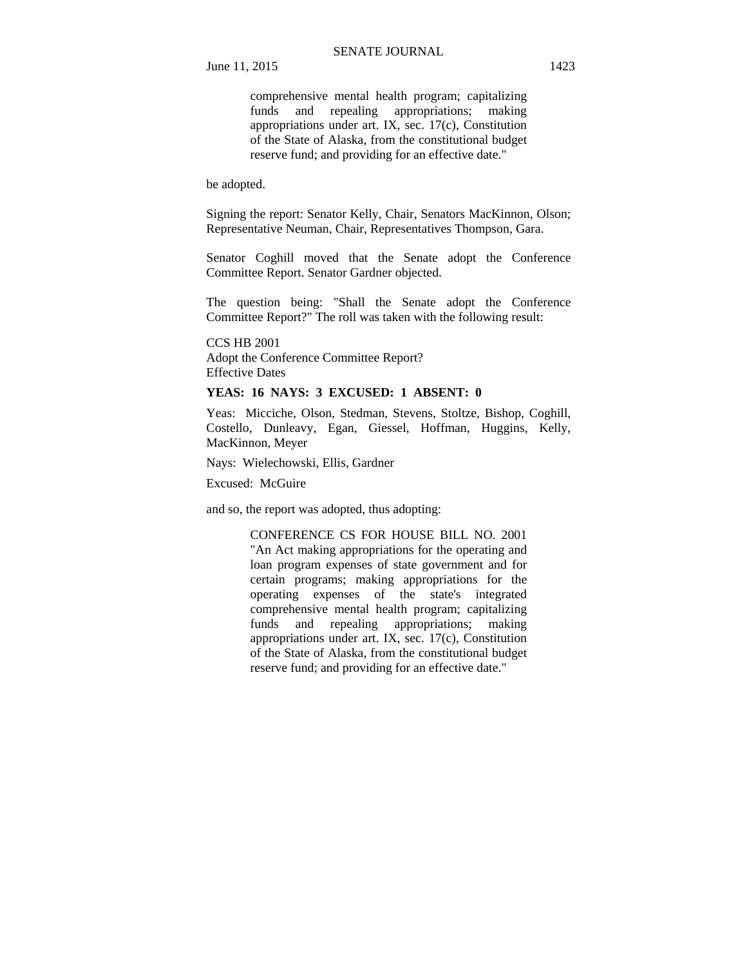June 11, 2015 1423

comprehensive mental health program; capitalizing funds and repealing appropriations; making appropriations under art. IX, sec. 17(c), Constitution of the State of Alaska, from the constitutional budget reserve fund; and providing for an effective date."

be adopted.

Signing the report: Senator Kelly, Chair, Senators MacKinnon, Olson; Representative Neuman, Chair, Representatives Thompson, Gara.

Senator Coghill moved that the Senate adopt the Conference Committee Report. Senator Gardner objected.

The question being: "Shall the Senate adopt the Conference Committee Report?" The roll was taken with the following result:

CCS HB 2001 Adopt the Conference Committee Report? Effective Dates

### **YEAS: 16 NAYS: 3 EXCUSED: 1 ABSENT: 0**

Yeas: Micciche, Olson, Stedman, Stevens, Stoltze, Bishop, Coghill, Costello, Dunleavy, Egan, Giessel, Hoffman, Huggins, Kelly, MacKinnon, Meyer

Nays: Wielechowski, Ellis, Gardner

Excused: McGuire

and so, the report was adopted, thus adopting:

CONFERENCE CS FOR HOUSE BILL NO. 2001 "An Act making appropriations for the operating and loan program expenses of state government and for certain programs; making appropriations for the operating expenses of the state's integrated comprehensive mental health program; capitalizing funds and repealing appropriations; making appropriations under art. IX, sec. 17(c), Constitution of the State of Alaska, from the constitutional budget reserve fund; and providing for an effective date."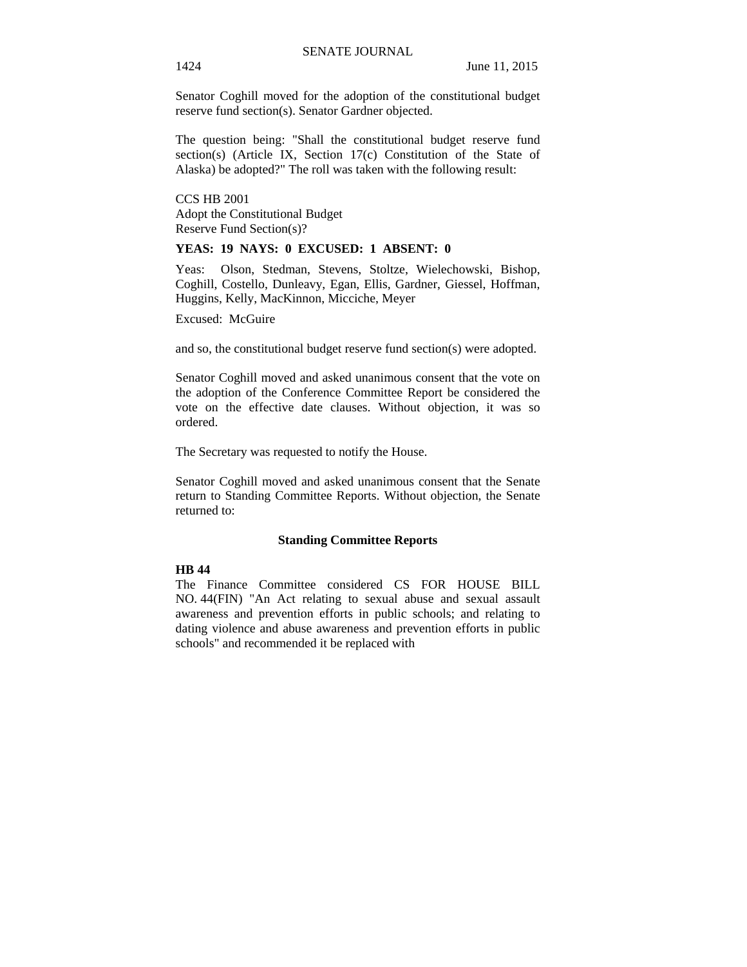Senator Coghill moved for the adoption of the constitutional budget reserve fund section(s). Senator Gardner objected.

The question being: "Shall the constitutional budget reserve fund section(s) (Article IX, Section 17(c) Constitution of the State of Alaska) be adopted?" The roll was taken with the following result:

CCS HB 2001 Adopt the Constitutional Budget Reserve Fund Section(s)?

### **YEAS: 19 NAYS: 0 EXCUSED: 1 ABSENT: 0**

Yeas: Olson, Stedman, Stevens, Stoltze, Wielechowski, Bishop, Coghill, Costello, Dunleavy, Egan, Ellis, Gardner, Giessel, Hoffman, Huggins, Kelly, MacKinnon, Micciche, Meyer

Excused: McGuire

and so, the constitutional budget reserve fund section(s) were adopted.

Senator Coghill moved and asked unanimous consent that the vote on the adoption of the Conference Committee Report be considered the vote on the effective date clauses. Without objection, it was so ordered.

The Secretary was requested to notify the House.

Senator Coghill moved and asked unanimous consent that the Senate return to Standing Committee Reports. Without objection, the Senate returned to:

#### **Standing Committee Reports**

### **HB 44**

The Finance Committee considered CS FOR HOUSE BILL NO. 44(FIN) "An Act relating to sexual abuse and sexual assault awareness and prevention efforts in public schools; and relating to dating violence and abuse awareness and prevention efforts in public schools" and recommended it be replaced with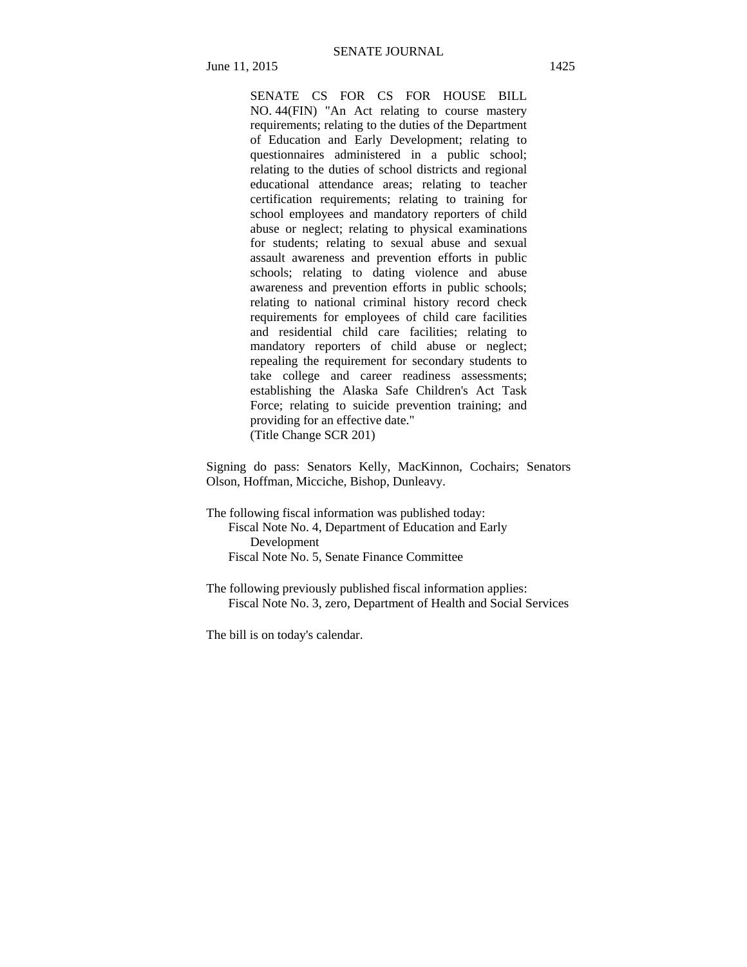SENATE CS FOR CS FOR HOUSE BILL NO. 44(FIN) "An Act relating to course mastery requirements; relating to the duties of the Department of Education and Early Development; relating to questionnaires administered in a public school; relating to the duties of school districts and regional educational attendance areas; relating to teacher certification requirements; relating to training for school employees and mandatory reporters of child abuse or neglect; relating to physical examinations for students; relating to sexual abuse and sexual assault awareness and prevention efforts in public schools; relating to dating violence and abuse awareness and prevention efforts in public schools; relating to national criminal history record check requirements for employees of child care facilities and residential child care facilities; relating to mandatory reporters of child abuse or neglect; repealing the requirement for secondary students to take college and career readiness assessments; establishing the Alaska Safe Children's Act Task Force; relating to suicide prevention training; and providing for an effective date." (Title Change SCR 201)

Signing do pass: Senators Kelly, MacKinnon, Cochairs; Senators Olson, Hoffman, Micciche, Bishop, Dunleavy.

The following fiscal information was published today: Fiscal Note No. 4, Department of Education and Early Development Fiscal Note No. 5, Senate Finance Committee

The following previously published fiscal information applies: Fiscal Note No. 3, zero, Department of Health and Social Services

The bill is on today's calendar.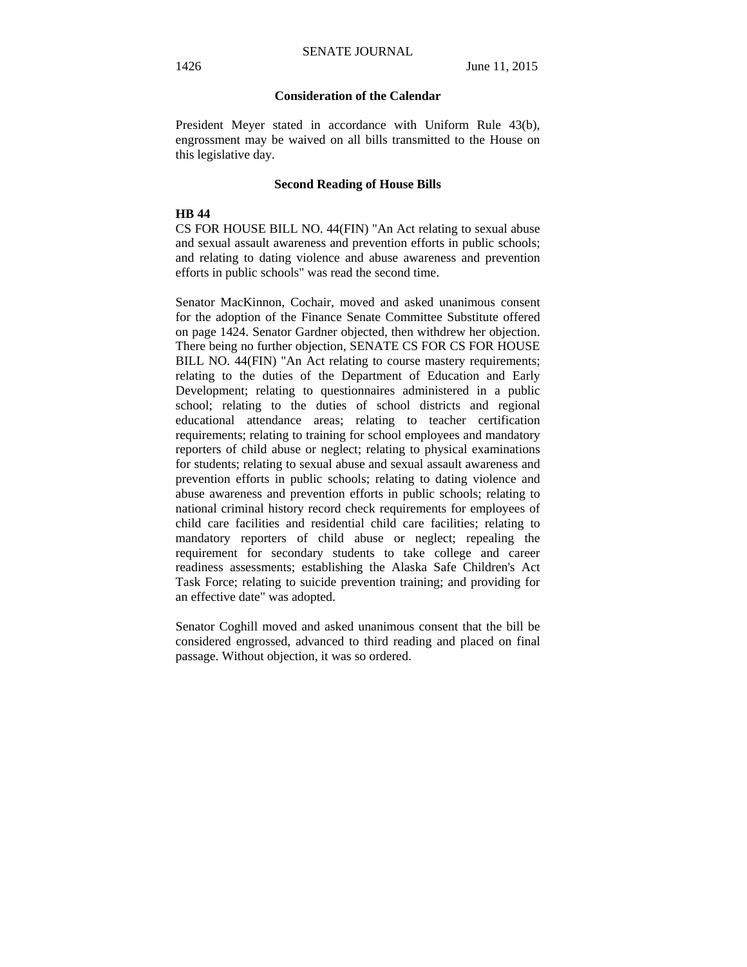### **Consideration of the Calendar**

President Meyer stated in accordance with Uniform Rule 43(b), engrossment may be waived on all bills transmitted to the House on this legislative day.

#### **Second Reading of House Bills**

#### **HB 44**

CS FOR HOUSE BILL NO. 44(FIN) "An Act relating to sexual abuse and sexual assault awareness and prevention efforts in public schools; and relating to dating violence and abuse awareness and prevention efforts in public schools" was read the second time.

Senator MacKinnon, Cochair, moved and asked unanimous consent for the adoption of the Finance Senate Committee Substitute offered on page 1424. Senator Gardner objected, then withdrew her objection. There being no further objection, SENATE CS FOR CS FOR HOUSE BILL NO. 44(FIN) "An Act relating to course mastery requirements; relating to the duties of the Department of Education and Early Development; relating to questionnaires administered in a public school; relating to the duties of school districts and regional educational attendance areas; relating to teacher certification requirements; relating to training for school employees and mandatory reporters of child abuse or neglect; relating to physical examinations for students; relating to sexual abuse and sexual assault awareness and prevention efforts in public schools; relating to dating violence and abuse awareness and prevention efforts in public schools; relating to national criminal history record check requirements for employees of child care facilities and residential child care facilities; relating to mandatory reporters of child abuse or neglect; repealing the requirement for secondary students to take college and career readiness assessments; establishing the Alaska Safe Children's Act Task Force; relating to suicide prevention training; and providing for an effective date" was adopted.

Senator Coghill moved and asked unanimous consent that the bill be considered engrossed, advanced to third reading and placed on final passage. Without objection, it was so ordered.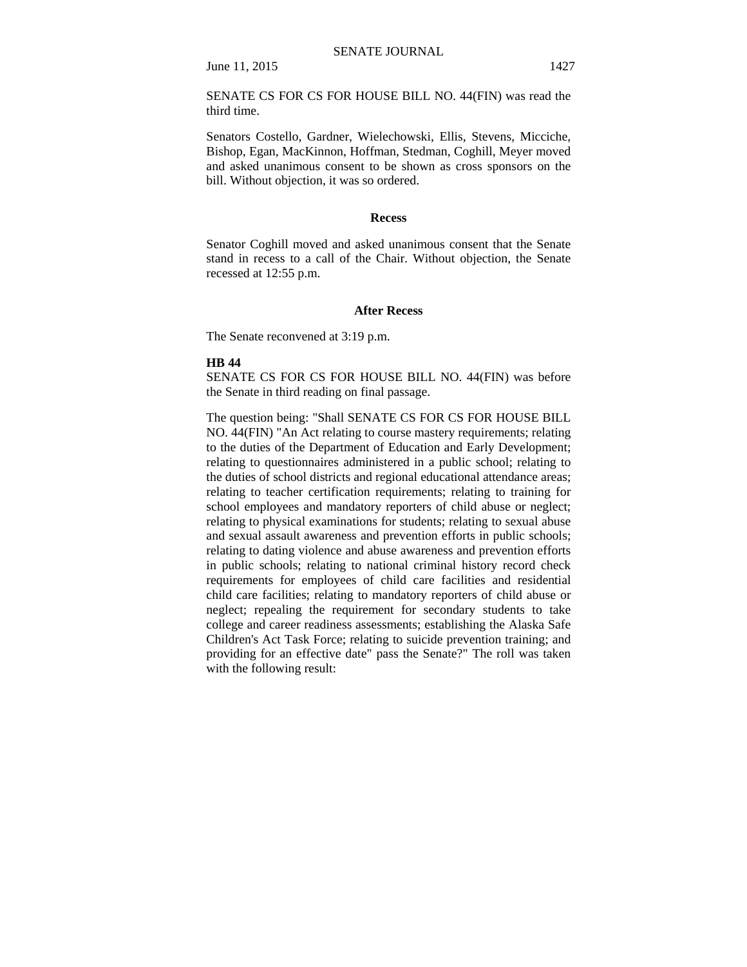SENATE CS FOR CS FOR HOUSE BILL NO. 44(FIN) was read the third time.

Senators Costello, Gardner, Wielechowski, Ellis, Stevens, Micciche, Bishop, Egan, MacKinnon, Hoffman, Stedman, Coghill, Meyer moved and asked unanimous consent to be shown as cross sponsors on the bill. Without objection, it was so ordered.

#### **Recess**

Senator Coghill moved and asked unanimous consent that the Senate stand in recess to a call of the Chair. Without objection, the Senate recessed at 12:55 p.m.

#### **After Recess**

The Senate reconvened at 3:19 p.m.

#### **HB 44**

SENATE CS FOR CS FOR HOUSE BILL NO. 44(FIN) was before the Senate in third reading on final passage.

The question being: "Shall SENATE CS FOR CS FOR HOUSE BILL NO. 44(FIN) "An Act relating to course mastery requirements; relating to the duties of the Department of Education and Early Development; relating to questionnaires administered in a public school; relating to the duties of school districts and regional educational attendance areas; relating to teacher certification requirements; relating to training for school employees and mandatory reporters of child abuse or neglect; relating to physical examinations for students; relating to sexual abuse and sexual assault awareness and prevention efforts in public schools; relating to dating violence and abuse awareness and prevention efforts in public schools; relating to national criminal history record check requirements for employees of child care facilities and residential child care facilities; relating to mandatory reporters of child abuse or neglect; repealing the requirement for secondary students to take college and career readiness assessments; establishing the Alaska Safe Children's Act Task Force; relating to suicide prevention training; and providing for an effective date" pass the Senate?" The roll was taken with the following result: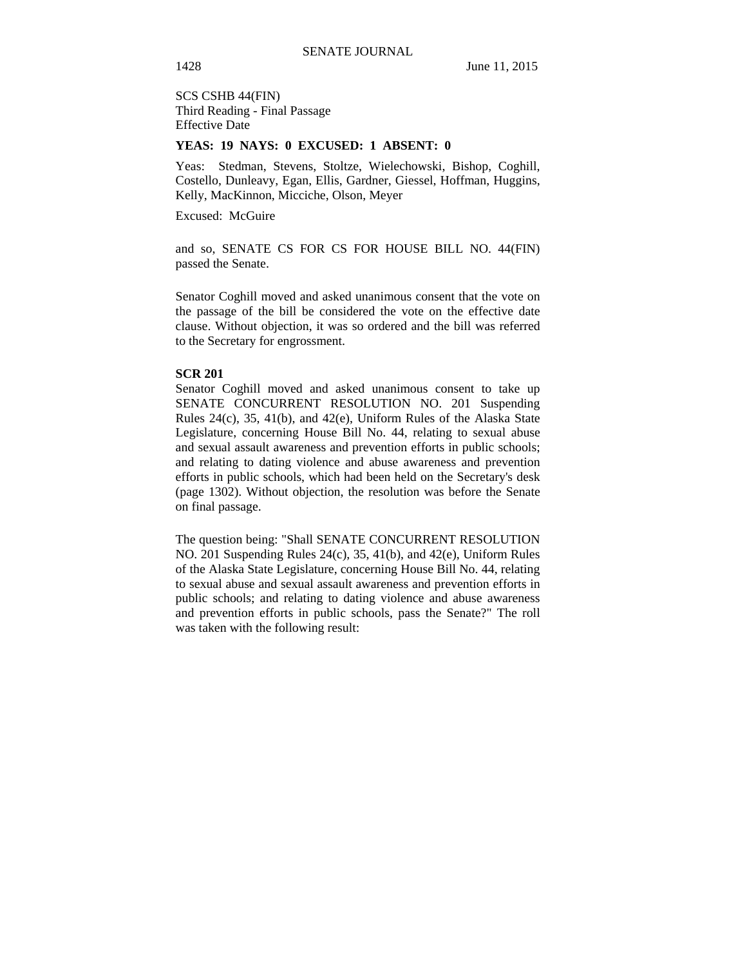SCS CSHB 44(FIN) Third Reading - Final Passage Effective Date

### **YEAS: 19 NAYS: 0 EXCUSED: 1 ABSENT: 0**

Yeas: Stedman, Stevens, Stoltze, Wielechowski, Bishop, Coghill, Costello, Dunleavy, Egan, Ellis, Gardner, Giessel, Hoffman, Huggins, Kelly, MacKinnon, Micciche, Olson, Meyer

Excused: McGuire

and so, SENATE CS FOR CS FOR HOUSE BILL NO. 44(FIN) passed the Senate.

Senator Coghill moved and asked unanimous consent that the vote on the passage of the bill be considered the vote on the effective date clause. Without objection, it was so ordered and the bill was referred to the Secretary for engrossment.

#### **SCR 201**

Senator Coghill moved and asked unanimous consent to take up SENATE CONCURRENT RESOLUTION NO. 201 Suspending Rules 24(c), 35, 41(b), and 42(e), Uniform Rules of the Alaska State Legislature, concerning House Bill No. 44, relating to sexual abuse and sexual assault awareness and prevention efforts in public schools; and relating to dating violence and abuse awareness and prevention efforts in public schools, which had been held on the Secretary's desk (page 1302). Without objection, the resolution was before the Senate on final passage.

The question being: "Shall SENATE CONCURRENT RESOLUTION NO. 201 Suspending Rules 24(c), 35, 41(b), and 42(e), Uniform Rules of the Alaska State Legislature, concerning House Bill No. 44, relating to sexual abuse and sexual assault awareness and prevention efforts in public schools; and relating to dating violence and abuse awareness and prevention efforts in public schools, pass the Senate?" The roll was taken with the following result: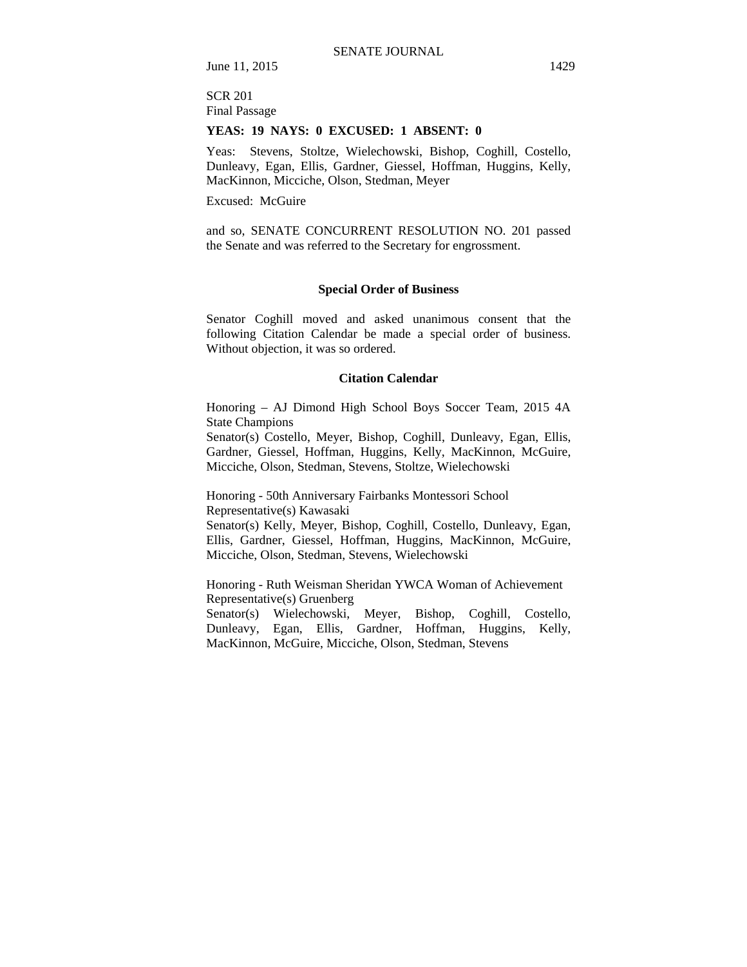### SCR 201 Final Passage

### **YEAS: 19 NAYS: 0 EXCUSED: 1 ABSENT: 0**

Yeas: Stevens, Stoltze, Wielechowski, Bishop, Coghill, Costello, Dunleavy, Egan, Ellis, Gardner, Giessel, Hoffman, Huggins, Kelly, MacKinnon, Micciche, Olson, Stedman, Meyer

Excused: McGuire

and so, SENATE CONCURRENT RESOLUTION NO. 201 passed the Senate and was referred to the Secretary for engrossment.

### **Special Order of Business**

Senator Coghill moved and asked unanimous consent that the following Citation Calendar be made a special order of business. Without objection, it was so ordered.

### **Citation Calendar**

Honoring – AJ Dimond High School Boys Soccer Team, 2015 4A State Champions

Senator(s) Costello, Meyer, Bishop, Coghill, Dunleavy, Egan, Ellis, Gardner, Giessel, Hoffman, Huggins, Kelly, MacKinnon, McGuire, Micciche, Olson, Stedman, Stevens, Stoltze, Wielechowski

Honoring - 50th Anniversary Fairbanks Montessori School Representative(s) Kawasaki

Senator(s) Kelly, Meyer, Bishop, Coghill, Costello, Dunleavy, Egan, Ellis, Gardner, Giessel, Hoffman, Huggins, MacKinnon, McGuire, Micciche, Olson, Stedman, Stevens, Wielechowski

Honoring - Ruth Weisman Sheridan YWCA Woman of Achievement Representative(s) Gruenberg

Senator(s) Wielechowski, Meyer, Bishop, Coghill, Costello, Dunleavy, Egan, Ellis, Gardner, Hoffman, Huggins, Kelly, MacKinnon, McGuire, Micciche, Olson, Stedman, Stevens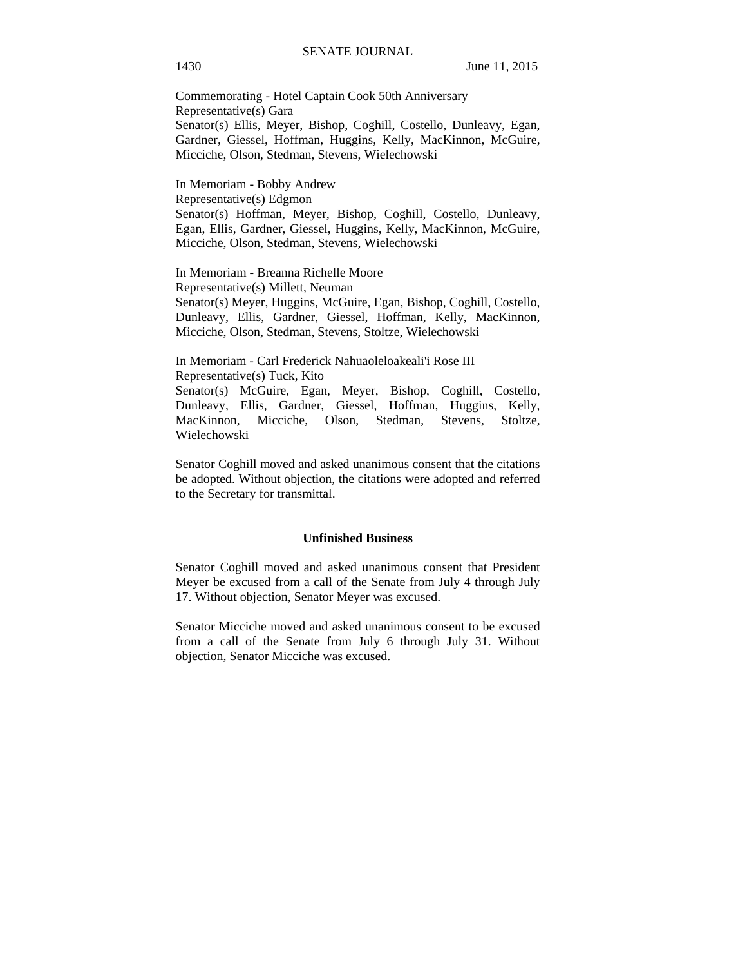Commemorating - Hotel Captain Cook 50th Anniversary Representative(s) Gara Senator(s) Ellis, Meyer, Bishop, Coghill, Costello, Dunleavy, Egan, Gardner, Giessel, Hoffman, Huggins, Kelly, MacKinnon, McGuire, Micciche, Olson, Stedman, Stevens, Wielechowski

In Memoriam - Bobby Andrew Representative(s) Edgmon Senator(s) Hoffman, Meyer, Bishop, Coghill, Costello, Dunleavy, Egan, Ellis, Gardner, Giessel, Huggins, Kelly, MacKinnon, McGuire, Micciche, Olson, Stedman, Stevens, Wielechowski

In Memoriam - Breanna Richelle Moore Representative(s) Millett, Neuman Senator(s) Meyer, Huggins, McGuire, Egan, Bishop, Coghill, Costello, Dunleavy, Ellis, Gardner, Giessel, Hoffman, Kelly, MacKinnon, Micciche, Olson, Stedman, Stevens, Stoltze, Wielechowski

In Memoriam - Carl Frederick Nahuaoleloakeali'i Rose III Representative(s) Tuck, Kito Senator(s) McGuire, Egan, Meyer, Bishop, Coghill, Costello, Dunleavy, Ellis, Gardner, Giessel, Hoffman, Huggins, Kelly, MacKinnon, Micciche, Olson, Stedman, Stevens, Stoltze, Wielechowski

Senator Coghill moved and asked unanimous consent that the citations be adopted. Without objection, the citations were adopted and referred to the Secretary for transmittal.

#### **Unfinished Business**

Senator Coghill moved and asked unanimous consent that President Meyer be excused from a call of the Senate from July 4 through July 17. Without objection, Senator Meyer was excused.

Senator Micciche moved and asked unanimous consent to be excused from a call of the Senate from July 6 through July 31. Without objection, Senator Micciche was excused.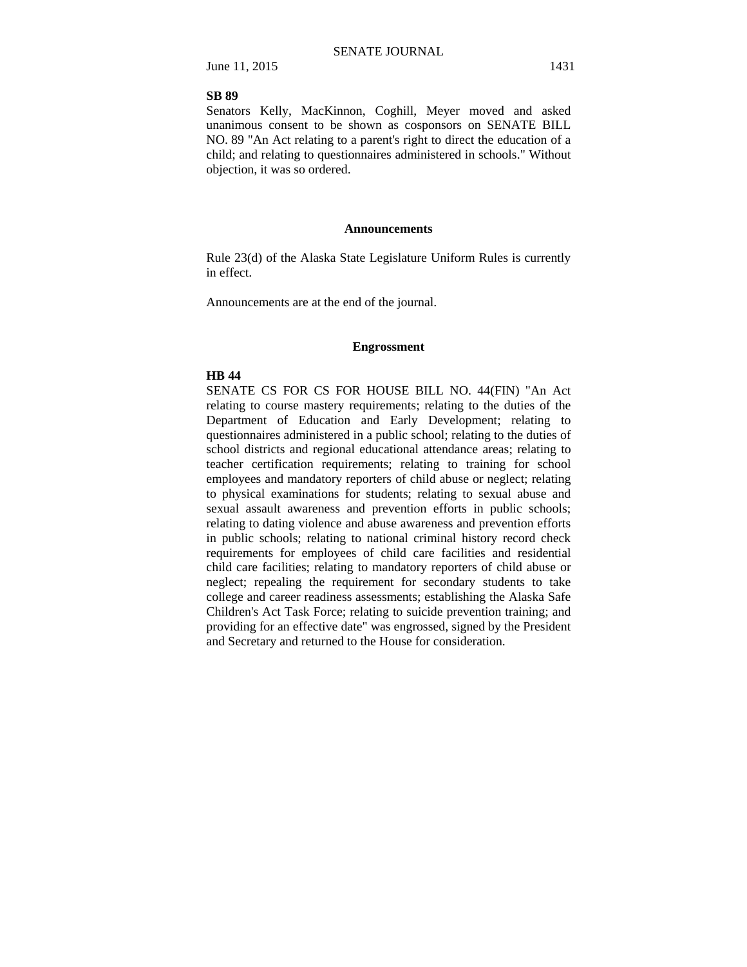#### **SB 89**

Senators Kelly, MacKinnon, Coghill, Meyer moved and asked unanimous consent to be shown as cosponsors on SENATE BILL NO. 89 "An Act relating to a parent's right to direct the education of a child; and relating to questionnaires administered in schools." Without objection, it was so ordered.

#### **Announcements**

Rule 23(d) of the Alaska State Legislature Uniform Rules is currently in effect.

Announcements are at the end of the journal.

#### **Engrossment**

### **HB 44**

SENATE CS FOR CS FOR HOUSE BILL NO. 44(FIN) "An Act relating to course mastery requirements; relating to the duties of the Department of Education and Early Development; relating to questionnaires administered in a public school; relating to the duties of school districts and regional educational attendance areas; relating to teacher certification requirements; relating to training for school employees and mandatory reporters of child abuse or neglect; relating to physical examinations for students; relating to sexual abuse and sexual assault awareness and prevention efforts in public schools; relating to dating violence and abuse awareness and prevention efforts in public schools; relating to national criminal history record check requirements for employees of child care facilities and residential child care facilities; relating to mandatory reporters of child abuse or neglect; repealing the requirement for secondary students to take college and career readiness assessments; establishing the Alaska Safe Children's Act Task Force; relating to suicide prevention training; and providing for an effective date" was engrossed, signed by the President and Secretary and returned to the House for consideration.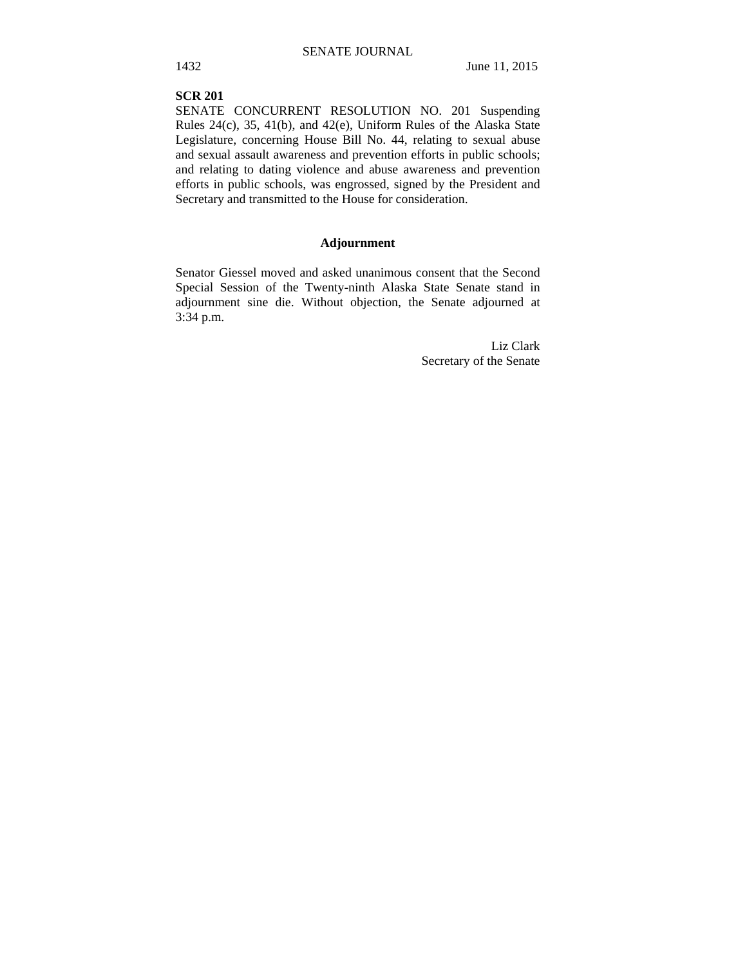### **SCR 201**

SENATE CONCURRENT RESOLUTION NO. 201 Suspending Rules 24(c), 35, 41(b), and 42(e), Uniform Rules of the Alaska State Legislature, concerning House Bill No. 44, relating to sexual abuse and sexual assault awareness and prevention efforts in public schools; and relating to dating violence and abuse awareness and prevention efforts in public schools, was engrossed, signed by the President and Secretary and transmitted to the House for consideration.

## **Adjournment**

Senator Giessel moved and asked unanimous consent that the Second Special Session of the Twenty-ninth Alaska State Senate stand in adjournment sine die. Without objection, the Senate adjourned at 3:34 p.m.

> Liz Clark Secretary of the Senate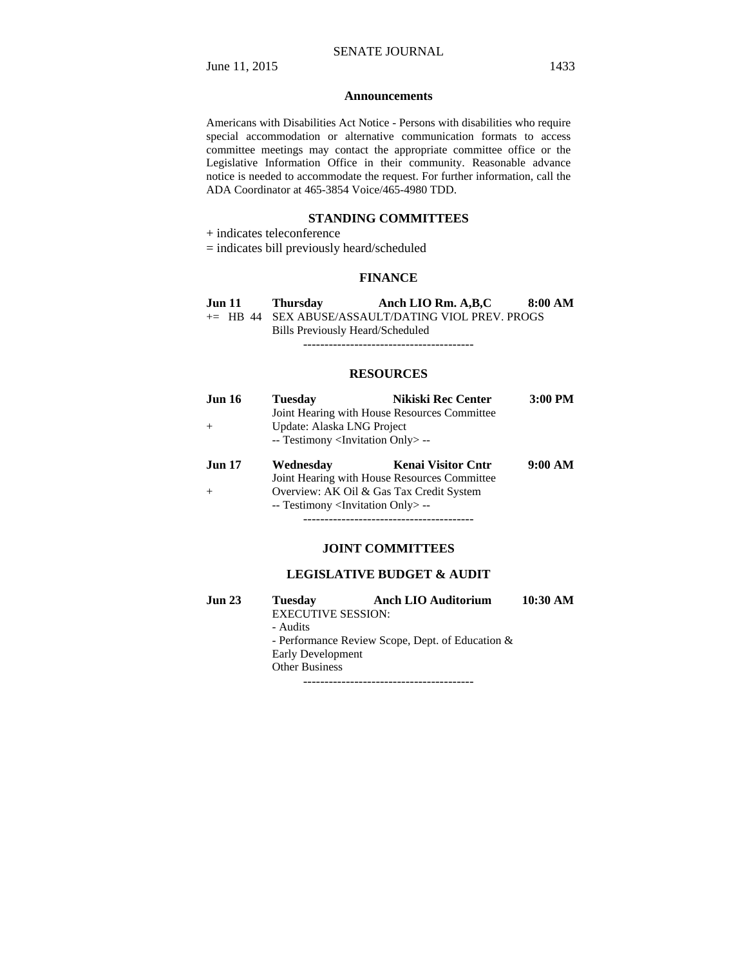#### **Announcements**

Americans with Disabilities Act Notice - Persons with disabilities who require special accommodation or alternative communication formats to access committee meetings may contact the appropriate committee office or the Legislative Information Office in their community. Reasonable advance notice is needed to accommodate the request. For further information, call the ADA Coordinator at 465-3854 Voice/465-4980 TDD.

### **STANDING COMMITTEES**

- + indicates teleconference
- = indicates bill previously heard/scheduled

### **FINANCE**

| <b>Jun 11</b> | Thursday | Anch LIO Rm. A, B, C                                 | 8:00 AM |
|---------------|----------|------------------------------------------------------|---------|
|               |          | $+=$ HB 44 SEX ABUSE/ASSAULT/DATING VIOL PREV. PROGS |         |
|               |          | Bills Previously Heard/Scheduled                     |         |

----------------------------------------

#### **RESOURCES**

| <b>Jun 16</b> | <b>Tuesday</b>                                    | <b>Nikiski Rec Center</b> | 3:00 PM |
|---------------|---------------------------------------------------|---------------------------|---------|
|               | Joint Hearing with House Resources Committee      |                           |         |
|               | Update: Alaska LNG Project                        |                           |         |
|               | -- Testimony <invitation only=""> --</invitation> |                           |         |
|               |                                                   |                           |         |
|               |                                                   |                           |         |
| <b>Jun 17</b> | Wednesday                                         | <b>Kenai Visitor Cntr</b> | 9:00 AM |
|               | Joint Hearing with House Resources Committee      |                           |         |
|               | Overview: AK Oil & Gas Tax Credit System          |                           |         |

----------------------------------------

### **JOINT COMMITTEES**

### **LEGISLATIVE BUDGET & AUDIT**

| Jun 23 | <b>Tuesday</b>                                      | <b>Anch LIO Auditorium</b> | 10:30 AM |
|--------|-----------------------------------------------------|----------------------------|----------|
|        | <b>EXECUTIVE SESSION:</b>                           |                            |          |
|        | - Audits                                            |                            |          |
|        | - Performance Review Scope, Dept. of Education $\&$ |                            |          |
|        | Early Development                                   |                            |          |
|        | <b>Other Business</b>                               |                            |          |
|        |                                                     |                            |          |